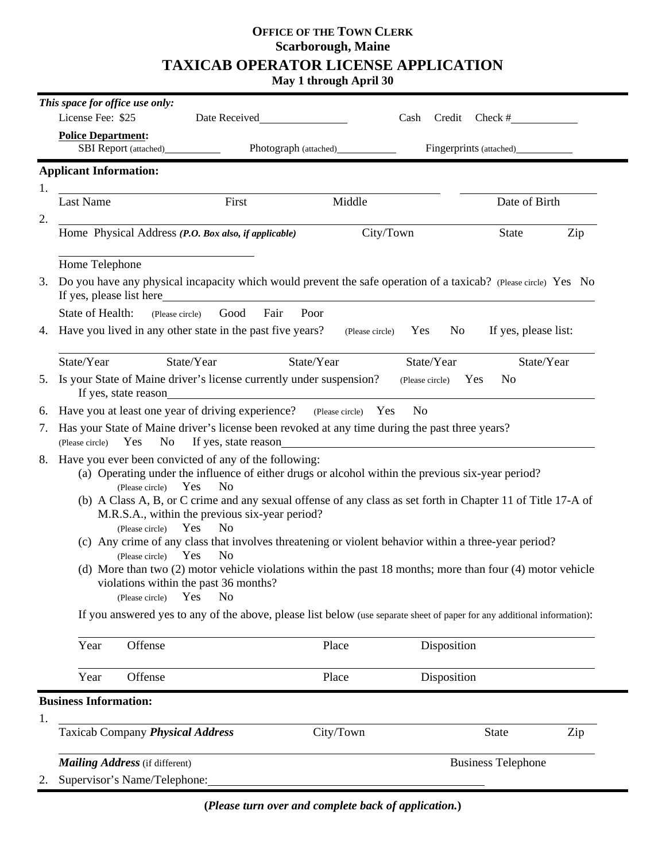# **OFFICE OF THE TOWN CLERK Scarborough, Maine TAXICAB OPERATOR LICENSE APPLICATION**

**May 1 through April 30**

|    | This space for office use only:                                                                                                                                                                                                                                                                                                                                                                                                                                                                                                                                                                                                                                                                                                                                             |                      |                           |                       |                      |            |
|----|-----------------------------------------------------------------------------------------------------------------------------------------------------------------------------------------------------------------------------------------------------------------------------------------------------------------------------------------------------------------------------------------------------------------------------------------------------------------------------------------------------------------------------------------------------------------------------------------------------------------------------------------------------------------------------------------------------------------------------------------------------------------------------|----------------------|---------------------------|-----------------------|----------------------|------------|
|    | License Fee: \$25<br>Date Received                                                                                                                                                                                                                                                                                                                                                                                                                                                                                                                                                                                                                                                                                                                                          |                      |                           | Credit<br>Cash        | Check #              |            |
|    | <b>Police Department:</b>                                                                                                                                                                                                                                                                                                                                                                                                                                                                                                                                                                                                                                                                                                                                                   |                      |                           |                       |                      |            |
|    |                                                                                                                                                                                                                                                                                                                                                                                                                                                                                                                                                                                                                                                                                                                                                                             |                      |                           |                       |                      |            |
|    | <b>Applicant Information:</b>                                                                                                                                                                                                                                                                                                                                                                                                                                                                                                                                                                                                                                                                                                                                               |                      |                           |                       |                      |            |
| 1. |                                                                                                                                                                                                                                                                                                                                                                                                                                                                                                                                                                                                                                                                                                                                                                             |                      |                           |                       |                      |            |
|    | <b>Last Name</b>                                                                                                                                                                                                                                                                                                                                                                                                                                                                                                                                                                                                                                                                                                                                                            | First                | Middle                    |                       | Date of Birth        |            |
| 2. | Home Physical Address (P.O. Box also, if applicable)                                                                                                                                                                                                                                                                                                                                                                                                                                                                                                                                                                                                                                                                                                                        |                      | City/Town                 |                       | <b>State</b>         | Zip        |
|    | Home Telephone                                                                                                                                                                                                                                                                                                                                                                                                                                                                                                                                                                                                                                                                                                                                                              |                      |                           |                       |                      |            |
| 3. | Do you have any physical incapacity which would prevent the safe operation of a taxicab? (Please circle) Yes No                                                                                                                                                                                                                                                                                                                                                                                                                                                                                                                                                                                                                                                             |                      |                           |                       |                      |            |
|    | <b>State of Health:</b><br>(Please circle)                                                                                                                                                                                                                                                                                                                                                                                                                                                                                                                                                                                                                                                                                                                                  | Fair<br>Good<br>Poor |                           |                       |                      |            |
| 4. | Have you lived in any other state in the past five years?                                                                                                                                                                                                                                                                                                                                                                                                                                                                                                                                                                                                                                                                                                                   |                      | (Please circle)           | N <sub>0</sub><br>Yes | If yes, please list: |            |
|    | State/Year<br>State/Year                                                                                                                                                                                                                                                                                                                                                                                                                                                                                                                                                                                                                                                                                                                                                    | State/Year           |                           | State/Year            |                      | State/Year |
| 5. | Is your State of Maine driver's license currently under suspension?<br>N <sub>o</sub><br>(Please circle) Yes<br>If yes, state reason                                                                                                                                                                                                                                                                                                                                                                                                                                                                                                                                                                                                                                        |                      |                           |                       |                      |            |
| 6. | Have you at least one year of driving experience? (Please circle) Yes<br>No                                                                                                                                                                                                                                                                                                                                                                                                                                                                                                                                                                                                                                                                                                 |                      |                           |                       |                      |            |
| 7. | Has your State of Maine driver's license been revoked at any time during the past three years?<br>If yes, state reason<br><u>Example</u> 2014<br>If yes, state reason<br>Yes<br>No<br>(Please circle)                                                                                                                                                                                                                                                                                                                                                                                                                                                                                                                                                                       |                      |                           |                       |                      |            |
| 8. | Have you ever been convicted of any of the following:<br>(a) Operating under the influence of either drugs or alcohol within the previous six-year period?<br>Yes<br>N <sub>o</sub><br>(Please circle)<br>(b) A Class A, B, or C crime and any sexual offense of any class as set forth in Chapter 11 of Title 17-A of<br>M.R.S.A., within the previous six-year period?<br>Yes<br>N <sub>o</sub><br>(Please circle)<br>(c) Any crime of any class that involves threatening or violent behavior within a three-year period?<br>N <sub>o</sub><br>Yes<br>(Please circle)<br>(d) More than two (2) motor vehicle violations within the past 18 months; more than four (4) motor vehicle<br>violations within the past 36 months?<br>N <sub>o</sub><br>Yes<br>(Please circle) |                      |                           |                       |                      |            |
|    | If you answered yes to any of the above, please list below (use separate sheet of paper for any additional information):                                                                                                                                                                                                                                                                                                                                                                                                                                                                                                                                                                                                                                                    |                      |                           |                       |                      |            |
|    | Year<br>Offense                                                                                                                                                                                                                                                                                                                                                                                                                                                                                                                                                                                                                                                                                                                                                             |                      | Place                     | Disposition           |                      |            |
|    | Year<br>Offense                                                                                                                                                                                                                                                                                                                                                                                                                                                                                                                                                                                                                                                                                                                                                             |                      | Place                     | Disposition           |                      |            |
| 1. | <b>Business Information:</b>                                                                                                                                                                                                                                                                                                                                                                                                                                                                                                                                                                                                                                                                                                                                                |                      |                           |                       |                      |            |
|    | Taxicab Company Physical Address                                                                                                                                                                                                                                                                                                                                                                                                                                                                                                                                                                                                                                                                                                                                            |                      | City/Town                 |                       | <b>State</b>         | Zip        |
|    | <b>Mailing Address</b> (if different)<br>Supervisor's Name/Telephone:                                                                                                                                                                                                                                                                                                                                                                                                                                                                                                                                                                                                                                                                                                       |                      | <b>Business Telephone</b> |                       |                      |            |